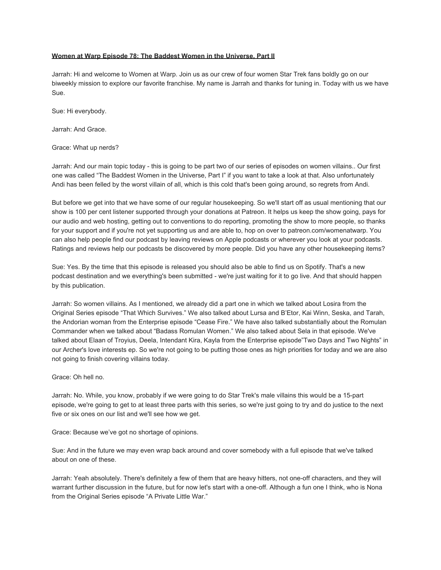# **Women at Warp Episode 78: The Baddest Women in the Universe, Part II**

Jarrah: Hi and welcome to Women at Warp. Join us as our crew of four women Star Trek fans boldly go on our biweekly mission to explore our favorite franchise. My name is Jarrah and thanks for tuning in. Today with us we have Sue.

Sue: Hi everybody.

Jarrah: And Grace.

Grace: What up nerds?

Jarrah: And our main topic today - this is going to be part two of our series of episodes on women villains.. Our first one was called "The Baddest Women in the Universe, Part I" if you want to take a look at that. Also unfortunately Andi has been felled by the worst villain of all, which is this cold that's been going around, so regrets from Andi.

But before we get into that we have some of our regular housekeeping. So we'll start off as usual mentioning that our show is 100 per cent listener supported through your donations at Patreon. It helps us keep the show going, pays for our audio and web hosting, getting out to conventions to do reporting, promoting the show to more people, so thanks for your support and if you're not yet supporting us and are able to, hop on over to patreon.com/womenatwarp. You can also help people find our podcast by leaving reviews on Apple podcasts or wherever you look at your podcasts. Ratings and reviews help our podcasts be discovered by more people. Did you have any other housekeeping items?

Sue: Yes. By the time that this episode is released you should also be able to find us on Spotify. That's a new podcast destination and we everything's been submitted - we're just waiting for it to go live. And that should happen by this publication.

Jarrah: So women villains. As I mentioned, we already did a part one in which we talked about Losira from the Original Series episode "That Which Survives." We also talked about Lursa and B'Etor, Kai Winn, Seska, and Tarah, the Andorian woman from the Enterprise episode "Cease Fire." We have also talked substantially about the Romulan Commander when we talked about "Badass Romulan Women." We also talked about Sela in that episode. We've talked about Elaan of Troyius, Deela, Intendant Kira, Kayla from the Enterprise episode"Two Days and Two Nights" in our Archer's love interests ep. So we're not going to be putting those ones as high priorities for today and we are also not going to finish covering villains today.

Grace: Oh hell no.

Jarrah: No. While, you know, probably if we were going to do Star Trek's male villains this would be a 15-part episode, we're going to get to at least three parts with this series, so we're just going to try and do justice to the next five or six ones on our list and we'll see how we get.

Grace: Because we've got no shortage of opinions.

Sue: And in the future we may even wrap back around and cover somebody with a full episode that we've talked about on one of these.

Jarrah: Yeah absolutely. There's definitely a few of them that are heavy hitters, not one-off characters, and they will warrant further discussion in the future, but for now let's start with a one-off. Although a fun one I think, who is Nona from the Original Series episode "A Private Little War."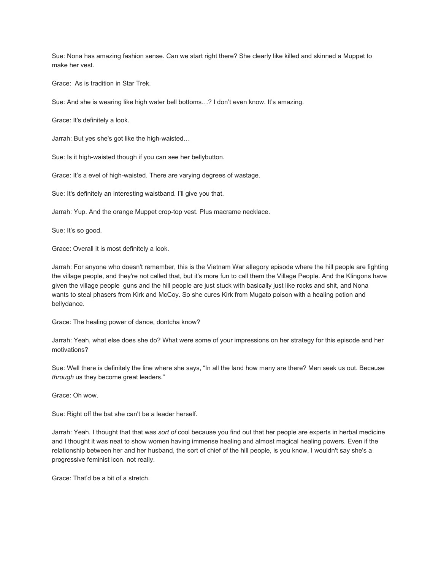Sue: Nona has amazing fashion sense. Can we start right there? She clearly like killed and skinned a Muppet to make her vest.

Grace: As is tradition in Star Trek.

Sue: And she is wearing like high water bell bottoms…? I don't even know. It's amazing.

Grace: It's definitely a look.

Jarrah: But yes she's got like the high-waisted…

Sue: Is it high-waisted though if you can see her bellybutton.

Grace: It's a evel of high-waisted. There are varying degrees of wastage.

Sue: It's definitely an interesting waistband. I'll give you that.

Jarrah: Yup. And the orange Muppet crop-top vest. Plus macrame necklace.

Sue: It's so good.

Grace: Overall it is most definitely a look.

Jarrah: For anyone who doesn't remember, this is the Vietnam War allegory episode where the hill people are fighting the village people, and they're not called that, but it's more fun to call them the Village People. And the Klingons have given the village people guns and the hill people are just stuck with basically just like rocks and shit, and Nona wants to steal phasers from Kirk and McCoy. So she cures Kirk from Mugato poison with a healing potion and bellydance.

Grace: The healing power of dance, dontcha know?

Jarrah: Yeah, what else does she do? What were some of your impressions on her strategy for this episode and her motivations?

Sue: Well there is definitely the line where she says, "In all the land how many are there? Men seek us out. Because *through* us they become great leaders."

Grace: Oh wow.

Sue: Right off the bat she can't be a leader herself.

Jarrah: Yeah. I thought that that was *sort of* cool because you find out that her people are experts in herbal medicine and I thought it was neat to show women having immense healing and almost magical healing powers. Even if the relationship between her and her husband, the sort of chief of the hill people, is you know, I wouldn't say she's a progressive feminist icon. not really.

Grace: That'd be a bit of a stretch.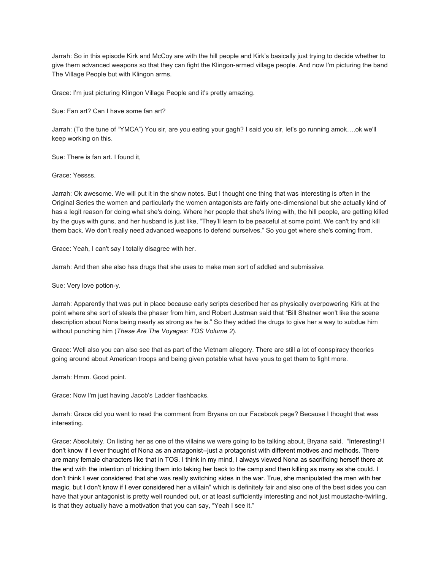Jarrah: So in this episode Kirk and McCoy are with the hill people and Kirk's basically just trying to decide whether to give them advanced weapons so that they can fight the Klingon-armed village people. And now I'm picturing the band The Village People but with Klingon arms.

Grace: I'm just picturing Klingon Village People and it's pretty amazing.

Sue: Fan art? Can I have some fan art?

Jarrah: (To the tune of "YMCA") You sir, are you eating your gagh? I said you sir, let's go running amok….ok we'll keep working on this.

Sue: There is fan art. I found it,

Grace: Yessss.

Jarrah: Ok awesome. We will put it in the show notes. But I thought one thing that was interesting is often in the Original Series the women and particularly the women antagonists are fairly one-dimensional but she actually kind of has a legit reason for doing what she's doing. Where her people that she's living with, the hill people, are getting killed by the guys with guns, and her husband is just like, "They'll learn to be peaceful at some point. We can't try and kill them back. We don't really need advanced weapons to defend ourselves." So you get where she's coming from.

Grace: Yeah, I can't say I totally disagree with her.

Jarrah: And then she also has drugs that she uses to make men sort of addled and submissive.

Sue: Very love potion-y.

Jarrah: Apparently that was put in place because early scripts described her as physically overpowering Kirk at the point where she sort of steals the phaser from him, and Robert Justman said that "Bill Shatner won't like the scene description about Nona being nearly as strong as he is." So they added the drugs to give her a way to subdue him without punching him (*These Are The Voyages: TOS Volume 2*).

Grace: Well also you can also see that as part of the Vietnam allegory. There are still a lot of conspiracy theories going around about American troops and being given potable what have yous to get them to fight more.

Jarrah: Hmm. Good point.

Grace: Now I'm just having Jacob's Ladder flashbacks.

Jarrah: Grace did you want to read the comment from Bryana on our Facebook page? Because I thought that was interesting.

Grace: Absolutely. On listing her as one of the villains we were going to be talking about, Bryana said. "Interesting! I don't know if I ever thought of Nona as an antagonist--just a protagonist with different motives and methods. There are many female characters like that in TOS. I think in my mind, I always viewed Nona as sacrificing herself there at the end with the intention of tricking them into taking her back to the camp and then killing as many as she could. I don't think I ever considered that she was really switching sides in the war. True, she manipulated the men with her magic, but I don't know if I ever considered her a villain" which is definitely fair and also one of the best sides you can have that your antagonist is pretty well rounded out, or at least sufficiently interesting and not just moustache-twirling, is that they actually have a motivation that you can say, "Yeah I see it."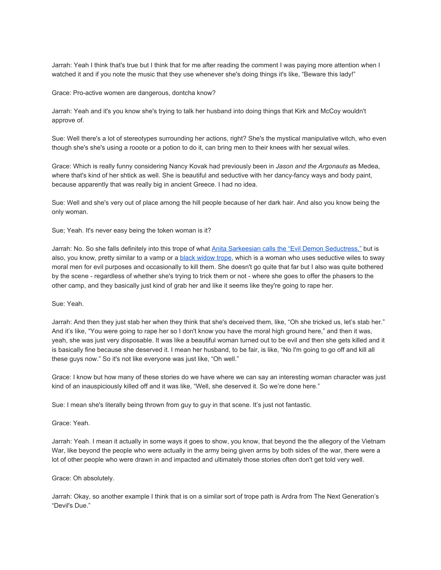Jarrah: Yeah I think that's true but I think that for me after reading the comment I was paying more attention when I watched it and if you note the music that they use whenever she's doing things it's like, "Beware this lady!"

Grace: Pro-active women are dangerous, dontcha know?

Jarrah: Yeah and it's you know she's trying to talk her husband into doing things that Kirk and McCoy wouldn't approve of.

Sue: Well there's a lot of stereotypes surrounding her actions, right? She's the mystical manipulative witch, who even though she's she's using a rooote or a potion to do it, can bring men to their knees with her sexual wiles.

Grace: Which is really funny considering Nancy Kovak had previously been in *Jason and the Argonauts* as Medea, where that's kind of her shtick as well. She is beautiful and seductive with her dancy-fancy ways and body paint, because apparently that was really big in ancient Greece. I had no idea.

Sue: Well and she's very out of place among the hill people because of her dark hair. And also you know being the only woman.

Sue; Yeah. It's never easy being the token woman is it?

Jarrah: No. So she falls definitely into this trope of what [Anita Sarkeesian calls the "Evil Demon Seductress,"](https://feministfrequency.com/tag/vampires/) but is also, you know, pretty similar to a vamp or a [black widow trope,](http://tvtropes.org/pmwiki/pmwiki.php/Main/BlackWidow) which is a woman who uses seductive wiles to sway moral men for evil purposes and occasionally to kill them. She doesn't go quite that far but I also was quite bothered by the scene - regardless of whether she's trying to trick them or not - where she goes to offer the phasers to the other camp, and they basically just kind of grab her and like it seems like they're going to rape her.

#### Sue: Yeah.

Jarrah: And then they just stab her when they think that she's deceived them, like, "Oh she tricked us, let's stab her." And it's like, "You were going to rape her so I don't know you have the moral high ground here," and then it was, yeah, she was just very disposable. It was like a beautiful woman turned out to be evil and then she gets killed and it is basically fine because she deserved it. I mean her husband, to be fair, is like, "No I'm going to go off and kill all these guys now." So it's not like everyone was just like, "Oh well."

Grace: I know but how many of these stories do we have where we can say an interesting woman character was just kind of an inauspiciously killed off and it was like, "Well, she deserved it. So we're done here."

Sue: I mean she's literally being thrown from guy to guy in that scene. It's just not fantastic.

## Grace: Yeah.

Jarrah: Yeah. I mean it actually in some ways it goes to show, you know, that beyond the the allegory of the Vietnam War, like beyond the people who were actually in the army being given arms by both sides of the war, there were a lot of other people who were drawn in and impacted and ultimately those stories often don't get told very well.

#### Grace: Oh absolutely.

Jarrah: Okay, so another example I think that is on a similar sort of trope path is Ardra from The Next Generation's "Devil's Due."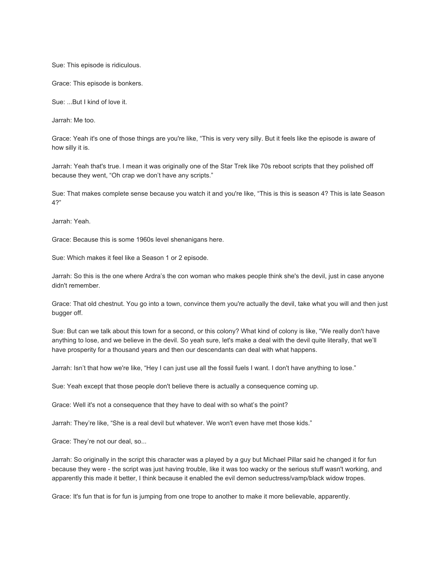Sue: This episode is ridiculous.

Grace: This episode is bonkers.

Sue: ...But I kind of love it.

Jarrah: Me too.

Grace: Yeah it's one of those things are you're like, "This is very very silly. But it feels like the episode is aware of how silly it is.

Jarrah: Yeah that's true. I mean it was originally one of the Star Trek like 70s reboot scripts that they polished off because they went, "Oh crap we don't have any scripts."

Sue: That makes complete sense because you watch it and you're like, "This is this is season 4? This is late Season 4?"

Jarrah: Yeah.

Grace: Because this is some 1960s level shenanigans here.

Sue: Which makes it feel like a Season 1 or 2 episode.

Jarrah: So this is the one where Ardra's the con woman who makes people think she's the devil, just in case anyone didn't remember.

Grace: That old chestnut. You go into a town, convince them you're actually the devil, take what you will and then just bugger off.

Sue: But can we talk about this town for a second, or this colony? What kind of colony is like, "We really don't have anything to lose, and we believe in the devil. So yeah sure, let's make a deal with the devil quite literally, that we'll have prosperity for a thousand years and then our descendants can deal with what happens.

Jarrah: Isn't that how we're like, "Hey I can just use all the fossil fuels I want. I don't have anything to lose."

Sue: Yeah except that those people don't believe there is actually a consequence coming up.

Grace: Well it's not a consequence that they have to deal with so what's the point?

Jarrah: They're like, "She is a real devil but whatever. We won't even have met those kids."

Grace: They're not our deal, so...

Jarrah: So originally in the script this character was a played by a guy but Michael Pillar said he changed it for fun because they were - the script was just having trouble, like it was too wacky or the serious stuff wasn't working, and apparently this made it better, I think because it enabled the evil demon seductress/vamp/black widow tropes.

Grace: It's fun that is for fun is jumping from one trope to another to make it more believable, apparently.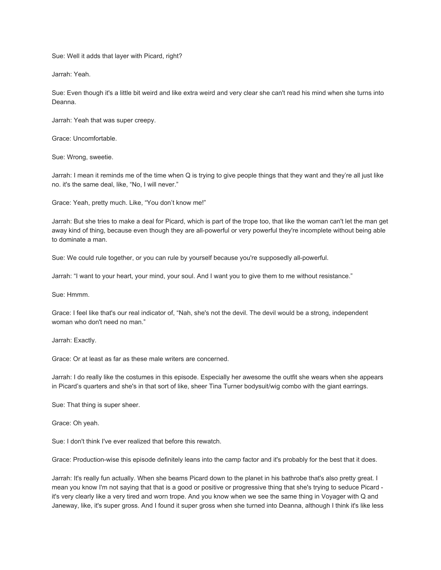Sue: Well it adds that layer with Picard, right?

Jarrah: Yeah.

Sue: Even though it's a little bit weird and like extra weird and very clear she can't read his mind when she turns into Deanna.

Jarrah: Yeah that was super creepy.

Grace: Uncomfortable.

Sue: Wrong, sweetie.

Jarrah: I mean it reminds me of the time when Q is trying to give people things that they want and they're all just like no. it's the same deal, like, "No, I will never."

Grace: Yeah, pretty much. Like, "You don't know me!"

Jarrah: But she tries to make a deal for Picard, which is part of the trope too, that like the woman can't let the man get away kind of thing, because even though they are all-powerful or very powerful they're incomplete without being able to dominate a man.

Sue: We could rule together, or you can rule by yourself because you're supposedly all-powerful.

Jarrah: "I want to your heart, your mind, your soul. And I want you to give them to me without resistance."

Sue: Hmmm.

Grace: I feel like that's our real indicator of, "Nah, she's not the devil. The devil would be a strong, independent woman who don't need no man."

Jarrah: Exactly.

Grace: Or at least as far as these male writers are concerned.

Jarrah: I do really like the costumes in this episode. Especially her awesome the outfit she wears when she appears in Picard's quarters and she's in that sort of like, sheer Tina Turner bodysuit/wig combo with the giant earrings.

Sue: That thing is super sheer.

Grace: Oh yeah.

Sue: I don't think I've ever realized that before this rewatch.

Grace: Production-wise this episode definitely leans into the camp factor and it's probably for the best that it does.

Jarrah: It's really fun actually. When she beams Picard down to the planet in his bathrobe that's also pretty great. I mean you know I'm not saying that that is a good or positive or progressive thing that she's trying to seduce Picard it's very clearly like a very tired and worn trope. And you know when we see the same thing in Voyager with Q and Janeway, like, it's super gross. And I found it super gross when she turned into Deanna, although I think it's like less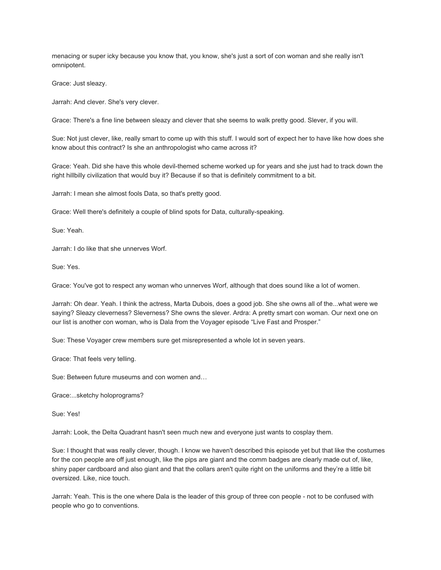menacing or super icky because you know that, you know, she's just a sort of con woman and she really isn't omnipotent.

Grace: Just sleazy.

Jarrah: And clever. She's very clever.

Grace: There's a fine line between sleazy and clever that she seems to walk pretty good. Slever, if you will.

Sue: Not just clever, like, really smart to come up with this stuff. I would sort of expect her to have like how does she know about this contract? Is she an anthropologist who came across it?

Grace: Yeah. Did she have this whole devil-themed scheme worked up for years and she just had to track down the right hillbilly civilization that would buy it? Because if so that is definitely commitment to a bit.

Jarrah: I mean she almost fools Data, so that's pretty good.

Grace: Well there's definitely a couple of blind spots for Data, culturally-speaking.

Sue: Yeah.

Jarrah: I do like that she unnerves Worf.

Sue: Yes.

Grace: You've got to respect any woman who unnerves Worf, although that does sound like a lot of women.

Jarrah: Oh dear. Yeah. I think the actress, Marta Dubois, does a good job. She she owns all of the...what were we saying? Sleazy cleverness? Sleverness? She owns the slever. Ardra: A pretty smart con woman. Our next one on our list is another con woman, who is Dala from the Voyager episode "Live Fast and Prosper."

Sue: These Voyager crew members sure get misrepresented a whole lot in seven years.

Grace: That feels very telling.

Sue: Between future museums and con women and…

Grace:...sketchy holoprograms?

Sue: Yes!

Jarrah: Look, the Delta Quadrant hasn't seen much new and everyone just wants to cosplay them.

Sue: I thought that was really clever, though. I know we haven't described this episode yet but that like the costumes for the con people are off just enough, like the pips are giant and the comm badges are clearly made out of, like, shiny paper cardboard and also giant and that the collars aren't quite right on the uniforms and they're a little bit oversized. Like, nice touch.

Jarrah: Yeah. This is the one where Dala is the leader of this group of three con people - not to be confused with people who go to conventions.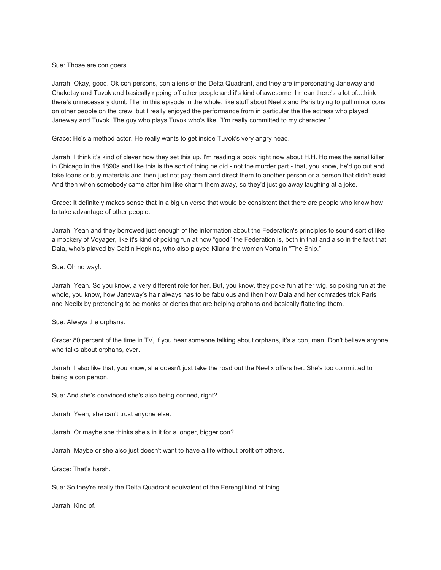Sue: Those are con goers.

Jarrah: Okay, good. Ok con persons, con aliens of the Delta Quadrant, and they are impersonating Janeway and Chakotay and Tuvok and basically ripping off other people and it's kind of awesome. I mean there's a lot of...think there's unnecessary dumb filler in this episode in the whole, like stuff about Neelix and Paris trying to pull minor cons on other people on the crew, but I really enjoyed the performance from in particular the the actress who played Janeway and Tuvok. The guy who plays Tuvok who's like, "I'm really committed to my character."

Grace: He's a method actor. He really wants to get inside Tuvok's very angry head.

Jarrah: I think it's kind of clever how they set this up. I'm reading a book right now about H.H. Holmes the serial killer in Chicago in the 1890s and like this is the sort of thing he did - not the murder part - that, you know, he'd go out and take loans or buy materials and then just not pay them and direct them to another person or a person that didn't exist. And then when somebody came after him like charm them away, so they'd just go away laughing at a joke.

Grace: It definitely makes sense that in a big universe that would be consistent that there are people who know how to take advantage of other people.

Jarrah: Yeah and they borrowed just enough of the information about the Federation's principles to sound sort of like a mockery of Voyager, like it's kind of poking fun at how "good" the Federation is, both in that and also in the fact that Dala, who's played by Caitlin Hopkins, who also played Kilana the woman Vorta in "The Ship."

Sue: Oh no way!.

Jarrah: Yeah. So you know, a very different role for her. But, you know, they poke fun at her wig, so poking fun at the whole, you know, how Janeway's hair always has to be fabulous and then how Dala and her comrades trick Paris and Neelix by pretending to be monks or clerics that are helping orphans and basically flattering them.

Sue: Always the orphans.

Grace: 80 percent of the time in TV, if you hear someone talking about orphans, it's a con, man. Don't believe anyone who talks about orphans, ever.

Jarrah: I also like that, you know, she doesn't just take the road out the Neelix offers her. She's too committed to being a con person.

Sue: And she's convinced she's also being conned, right?.

Jarrah: Yeah, she can't trust anyone else.

Jarrah: Or maybe she thinks she's in it for a longer, bigger con?

Jarrah: Maybe or she also just doesn't want to have a life without profit off others.

Grace: That's harsh.

Sue: So they're really the Delta Quadrant equivalent of the Ferengi kind of thing.

Jarrah: Kind of.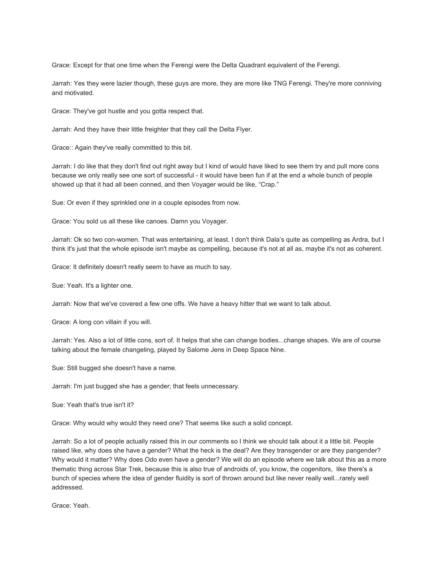Grace: Except for that one time when the Ferengi were the Delta Quadrant equivalent of the Ferengi.

Jarrah: Yes they were lazier though, these guys are more, they are more like TNG Ferengi. They're more conniving and motivated.

Grace: They've got hustle and you gotta respect that.

Jarrah: And they have their little freighter that they call the Delta Flyer.

Grace:: Again they've really committed to this bit.

Jarrah: I do like that they don't find out right away but I kind of would have liked to see them try and pull more cons because we only really see one sort of successful - it would have been fun if at the end a whole bunch of people showed up that it had all been conned, and then Voyager would be like, "Crap."

Sue: Or even if they sprinkled one in a couple episodes from now.

Grace: You sold us all these like canoes. Damn you Voyager.

Jarrah: Ok so two con-women. That was entertaining, at least. I don't think Dala's quite as compelling as Ardra, but I think it's just that the whole episode isn't maybe as compelling, because it's not at all as, maybe it's not as coherent.

Grace: It definitely doesn't really seem to have as much to say.

Sue: Yeah. It's a lighter one.

Jarrah: Now that we've covered a few one offs. We have a heavy hitter that we want to talk about.

Grace: A long con villain if you will.

Jarrah: Yes. Also a lot of little cons, sort of. It helps that she can change bodies...change shapes. We are of course talking about the female changeling, played by Salome Jens in Deep Space Nine.

Sue: Still bugged she doesn't have a name.

Jarrah: I'm just bugged she has a gender; that feels unnecessary.

Sue: Yeah that's true isn't it?

Grace: Why would why would they need one? That seems like such a solid concept.

Jarrah: So a lot of people actually raised this in our comments so I think we should talk about it a little bit. People raised like, why does she have a gender? What the heck is the deal? Are they transgender or are they pangender? Why would it matter? Why does Odo even have a gender? We will do an episode where we talk about this as a more thematic thing across Star Trek, because this is also true of androids of, you know, the cogenitors, like there's a bunch of species where the idea of gender fluidity is sort of thrown around but like never really well...rarely well addressed.

Grace: Yeah.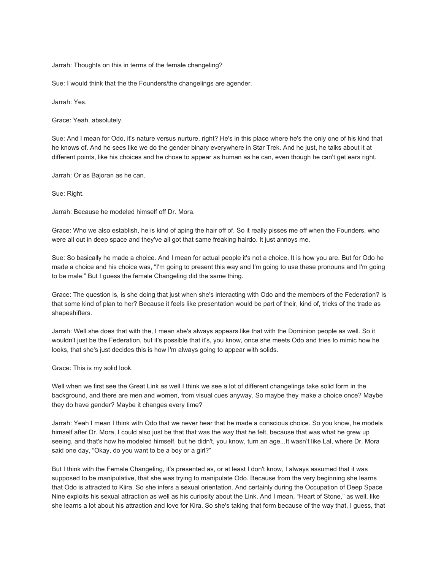Jarrah: Thoughts on this in terms of the female changeling?

Sue: I would think that the the Founders/the changelings are agender.

Jarrah: Yes.

Grace: Yeah. absolutely.

Sue: And I mean for Odo, it's nature versus nurture, right? He's in this place where he's the only one of his kind that he knows of. And he sees like we do the gender binary everywhere in Star Trek. And he just, he talks about it at different points, like his choices and he chose to appear as human as he can, even though he can't get ears right.

Jarrah: Or as Bajoran as he can.

Sue: Right.

Jarrah: Because he modeled himself off Dr. Mora.

Grace: Who we also establish, he is kind of aping the hair off of. So it really pisses me off when the Founders, who were all out in deep space and they've all got that same freaking hairdo. It just annoys me.

Sue: So basically he made a choice. And I mean for actual people it's not a choice. It is how you are. But for Odo he made a choice and his choice was, "I'm going to present this way and I'm going to use these pronouns and I'm going to be male." But I guess the female Changeling did the same thing.

Grace: The question is, is she doing that just when she's interacting with Odo and the members of the Federation? Is that some kind of plan to her? Because it feels like presentation would be part of their, kind of, tricks of the trade as shapeshifters.

Jarrah: Well she does that with the, I mean she's always appears like that with the Dominion people as well. So it wouldn't just be the Federation, but it's possible that it's, you know, once she meets Odo and tries to mimic how he looks, that she's just decides this is how I'm always going to appear with solids.

Grace: This is my solid look.

Well when we first see the Great Link as well I think we see a lot of different changelings take solid form in the background, and there are men and women, from visual cues anyway. So maybe they make a choice once? Maybe they do have gender? Maybe it changes every time?

Jarrah: Yeah I mean I think with Odo that we never hear that he made a conscious choice. So you know, he models himself after Dr. Mora, I could also just be that that was the way that he felt, because that was what he grew up seeing, and that's how he modeled himself, but he didn't, you know, turn an age...It wasn't like Lal, where Dr. Mora said one day, "Okay, do you want to be a boy or a girl?"

But I think with the Female Changeling, it's presented as, or at least I don't know, I always assumed that it was supposed to be manipulative, that she was trying to manipulate Odo. Because from the very beginning she learns that Odo is attracted to Kiira. So she infers a sexual orientation. And certainly during the Occupation of Deep Space Nine exploits his sexual attraction as well as his curiosity about the Link. And I mean, "Heart of Stone," as well, like she learns a lot about his attraction and love for Kira. So she's taking that form because of the way that, I guess, that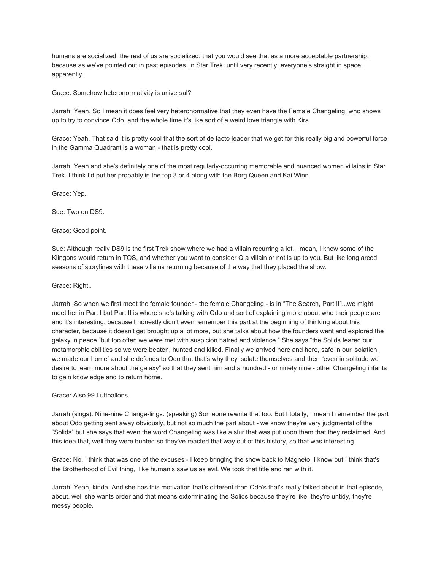humans are socialized, the rest of us are socialized, that you would see that as a more acceptable partnership, because as we've pointed out in past episodes, in Star Trek, until very recently, everyone's straight in space, apparently.

Grace: Somehow heteronormativity is universal?

Jarrah: Yeah. So I mean it does feel very heteronormative that they even have the Female Changeling, who shows up to try to convince Odo, and the whole time it's like sort of a weird love triangle with Kira.

Grace: Yeah. That said it is pretty cool that the sort of de facto leader that we get for this really big and powerful force in the Gamma Quadrant is a woman - that is pretty cool.

Jarrah: Yeah and she's definitely one of the most regularly-occurring memorable and nuanced women villains in Star Trek. I think I'd put her probably in the top 3 or 4 along with the Borg Queen and Kai Winn.

Grace: Yep.

Sue: Two on DS9.

Grace: Good point.

Sue: Although really DS9 is the first Trek show where we had a villain recurring a lot. I mean, I know some of the Klingons would return in TOS, and whether you want to consider Q a villain or not is up to you. But like long arced seasons of storylines with these villains returning because of the way that they placed the show.

Grace: Right..

Jarrah: So when we first meet the female founder - the female Changeling - is in "The Search, Part II"...we might meet her in Part I but Part II is where she's talking with Odo and sort of explaining more about who their people are and it's interesting, because I honestly didn't even remember this part at the beginning of thinking about this character, because it doesn't get brought up a lot more, but she talks about how the founders went and explored the galaxy in peace "but too often we were met with suspicion hatred and violence." She says "the Solids feared our metamorphic abilities so we were beaten, hunted and killed. Finally we arrived here and here, safe in our isolation, we made our home" and she defends to Odo that that's why they isolate themselves and then "even in solitude we desire to learn more about the galaxy" so that they sent him and a hundred - or ninety nine - other Changeling infants to gain knowledge and to return home.

Grace: Also 99 Luftballons.

Jarrah (sings): Nine-nine Change-lings. (speaking) Someone rewrite that too. But I totally, I mean I remember the part about Odo getting sent away obviously, but not so much the part about - we know they're very judgmental of the "Solids" but she says that even the word Changeling was like a slur that was put upon them that they reclaimed. And this idea that, well they were hunted so they've reacted that way out of this history, so that was interesting.

Grace: No, I think that was one of the excuses - I keep bringing the show back to Magneto, I know but I think that's the Brotherhood of Evil thing, like human's saw us as evil. We took that title and ran with it.

Jarrah: Yeah, kinda. And she has this motivation that's different than Odo's that's really talked about in that episode, about. well she wants order and that means exterminating the Solids because they're like, they're untidy, they're messy people.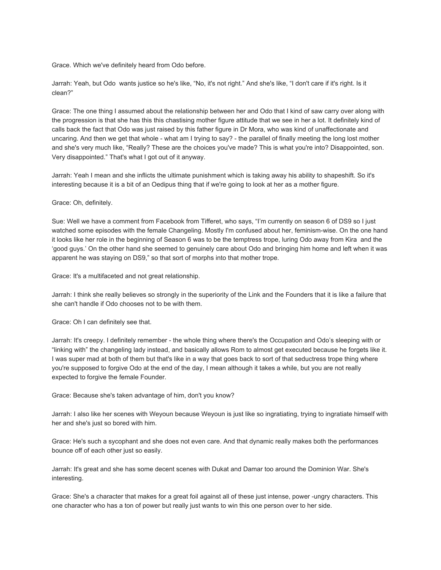Grace. Which we've definitely heard from Odo before.

Jarrah: Yeah, but Odo wants justice so he's like, "No, it's not right." And she's like, "I don't care if it's right. Is it clean?"

Grace: The one thing I assumed about the relationship between her and Odo that I kind of saw carry over along with the progression is that she has this this chastising mother figure attitude that we see in her a lot. It definitely kind of calls back the fact that Odo was just raised by this father figure in Dr Mora, who was kind of unaffectionate and uncaring. And then we get that whole - what am I trying to say? - the parallel of finally meeting the long lost mother and she's very much like, "Really? These are the choices you've made? This is what you're into? Disappointed, son. Very disappointed." That's what I got out of it anyway.

Jarrah: Yeah I mean and she inflicts the ultimate punishment which is taking away his ability to shapeshift. So it's interesting because it is a bit of an Oedipus thing that if we're going to look at her as a mother figure.

Grace: Oh, definitely.

Sue: Well we have a comment from Facebook from Tifferet, who says, "I'm currently on season 6 of DS9 so I just watched some episodes with the female Changeling. Mostly I'm confused about her, feminism-wise. On the one hand it looks like her role in the beginning of Season 6 was to be the temptress trope, luring Odo away from Kira and the 'good guys.' On the other hand she seemed to genuinely care about Odo and bringing him home and left when it was apparent he was staying on DS9," so that sort of morphs into that mother trope.

Grace: It's a multifaceted and not great relationship.

Jarrah: I think she really believes so strongly in the superiority of the Link and the Founders that it is like a failure that she can't handle if Odo chooses not to be with them.

Grace: Oh I can definitely see that.

Jarrah: It's creepy. I definitely remember - the whole thing where there's the Occupation and Odo's sleeping with or "linking with" the changeling lady instead, and basically allows Rom to almost get executed because he forgets like it. I was super mad at both of them but that's like in a way that goes back to sort of that seductress trope thing where you're supposed to forgive Odo at the end of the day, I mean although it takes a while, but you are not really expected to forgive the female Founder.

Grace: Because she's taken advantage of him, don't you know?

Jarrah: I also like her scenes with Weyoun because Weyoun is just like so ingratiating, trying to ingratiate himself with her and she's just so bored with him.

Grace: He's such a sycophant and she does not even care. And that dynamic really makes both the performances bounce off of each other just so easily.

Jarrah: It's great and she has some decent scenes with Dukat and Damar too around the Dominion War. She's interesting.

Grace: She's a character that makes for a great foil against all of these just intense, power -ungry characters. This one character who has a ton of power but really just wants to win this one person over to her side.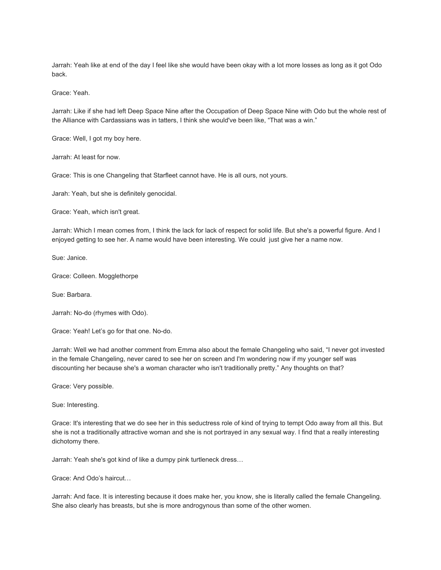Jarrah: Yeah like at end of the day I feel like she would have been okay with a lot more losses as long as it got Odo back.

Grace: Yeah.

Jarrah: Like if she had left Deep Space Nine after the Occupation of Deep Space Nine with Odo but the whole rest of the Alliance with Cardassians was in tatters, I think she would've been like, "That was a win."

Grace: Well, I got my boy here.

Jarrah: At least for now.

Grace: This is one Changeling that Starfleet cannot have. He is all ours, not yours.

Jarah: Yeah, but she is definitely genocidal.

Grace: Yeah, which isn't great.

Jarrah: Which I mean comes from, I think the lack for lack of respect for solid life. But she's a powerful figure. And I enjoyed getting to see her. A name would have been interesting. We could just give her a name now.

Sue: Janice.

Grace: Colleen. Mogglethorpe

Sue: Barbara.

Jarrah: No-do (rhymes with Odo).

Grace: Yeah! Let's go for that one. No-do.

Jarrah: Well we had another comment from Emma also about the female Changeling who said, "I never got invested in the female Changeling, never cared to see her on screen and I'm wondering now if my younger self was discounting her because she's a woman character who isn't traditionally pretty." Any thoughts on that?

Grace: Very possible.

Sue: Interesting.

Grace: It's interesting that we do see her in this seductress role of kind of trying to tempt Odo away from all this. But she is not a traditionally attractive woman and she is not portrayed in any sexual way. I find that a really interesting dichotomy there.

Jarrah: Yeah she's got kind of like a dumpy pink turtleneck dress…

Grace: And Odo's haircut…

Jarrah: And face. It is interesting because it does make her, you know, she is literally called the female Changeling. She also clearly has breasts, but she is more androgynous than some of the other women.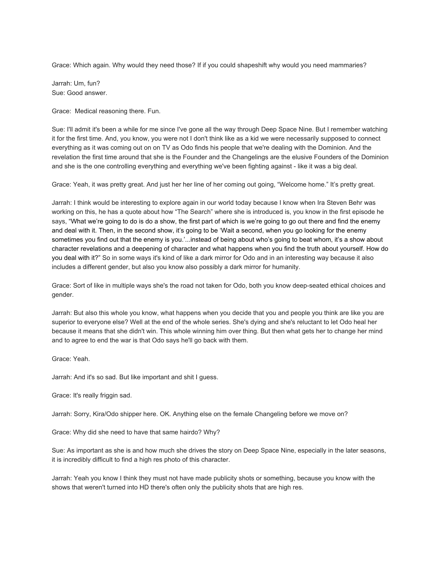Grace: Which again. Why would they need those? If if you could shapeshift why would you need mammaries?

Jarrah: Um, fun? Sue: Good answer.

Grace: Medical reasoning there. Fun.

Sue: I'll admit it's been a while for me since I've gone all the way through Deep Space Nine. But I remember watching it for the first time. And, you know, you were not I don't think like as a kid we were necessarily supposed to connect everything as it was coming out on on TV as Odo finds his people that we're dealing with the Dominion. And the revelation the first time around that she is the Founder and the Changelings are the elusive Founders of the Dominion and she is the one controlling everything and everything we've been fighting against - like it was a big deal.

Grace: Yeah, it was pretty great. And just her her line of her coming out going, "Welcome home." It's pretty great.

Jarrah: I think would be interesting to explore again in our world today because I know when Ira Steven Behr was working on this, he has a quote about how "The Search" where she is introduced is, you know in the first episode he says, "What we're going to do is do a show, the first part of which is we're going to go out there and find the enemy and deal with it. Then, in the second show, it's going to be 'Wait a second, when you go looking for the enemy sometimes you find out that the enemy is you.'...instead of being about who's going to beat whom, it's a show about character revelations and a deepening of character and what happens when you find the truth about yourself. How do you deal with it?" So in some ways it's kind of like a dark mirror for Odo and in an interesting way because it also includes a different gender, but also you know also possibly a dark mirror for humanity.

Grace: Sort of like in multiple ways she's the road not taken for Odo, both you know deep-seated ethical choices and gender.

Jarrah: But also this whole you know, what happens when you decide that you and people you think are like you are superior to everyone else? Well at the end of the whole series. She's dying and she's reluctant to let Odo heal her because it means that she didn't win. This whole winning him over thing. But then what gets her to change her mind and to agree to end the war is that Odo says he'll go back with them.

Grace: Yeah.

Jarrah: And it's so sad. But like important and shit I guess.

Grace: It's really friggin sad.

Jarrah: Sorry, Kira/Odo shipper here. OK. Anything else on the female Changeling before we move on?

Grace: Why did she need to have that same hairdo? Why?

Sue: As important as she is and how much she drives the story on Deep Space Nine, especially in the later seasons, it is incredibly difficult to find a high res photo of this character.

Jarrah: Yeah you know I think they must not have made publicity shots or something, because you know with the shows that weren't turned into HD there's often only the publicity shots that are high res.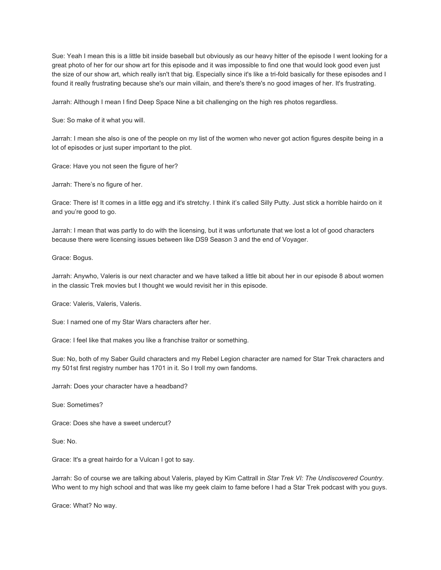Sue: Yeah I mean this is a little bit inside baseball but obviously as our heavy hitter of the episode I went looking for a great photo of her for our show art for this episode and it was impossible to find one that would look good even just the size of our show art, which really isn't that big. Especially since it's like a tri-fold basically for these episodes and I found it really frustrating because she's our main villain, and there's there's no good images of her. It's frustrating.

Jarrah: Although I mean I find Deep Space Nine a bit challenging on the high res photos regardless.

Sue: So make of it what you will.

Jarrah: I mean she also is one of the people on my list of the women who never got action figures despite being in a lot of episodes or just super important to the plot.

Grace: Have you not seen the figure of her?

Jarrah: There's no figure of her.

Grace: There is! It comes in a little egg and it's stretchy. I think it's called Silly Putty. Just stick a horrible hairdo on it and you're good to go.

Jarrah: I mean that was partly to do with the licensing, but it was unfortunate that we lost a lot of good characters because there were licensing issues between like DS9 Season 3 and the end of Voyager.

Grace: Bogus.

Jarrah: Anywho, Valeris is our next character and we have talked a little bit about her in our episode 8 about women in the classic Trek movies but I thought we would revisit her in this episode.

Grace: Valeris, Valeris, Valeris.

Sue: I named one of my Star Wars characters after her.

Grace: I feel like that makes you like a franchise traitor or something.

Sue: No, both of my Saber Guild characters and my Rebel Legion character are named for Star Trek characters and my 501st first registry number has 1701 in it. So I troll my own fandoms.

Jarrah: Does your character have a headband?

Sue: Sometimes?

Grace: Does she have a sweet undercut?

Sue: No.

Grace: It's a great hairdo for a Vulcan I got to say.

Jarrah: So of course we are talking about Valeris, played by Kim Cattrall in *Star Trek VI: The Undiscovered Country*. Who went to my high school and that was like my geek claim to fame before I had a Star Trek podcast with you guys.

Grace: What? No way.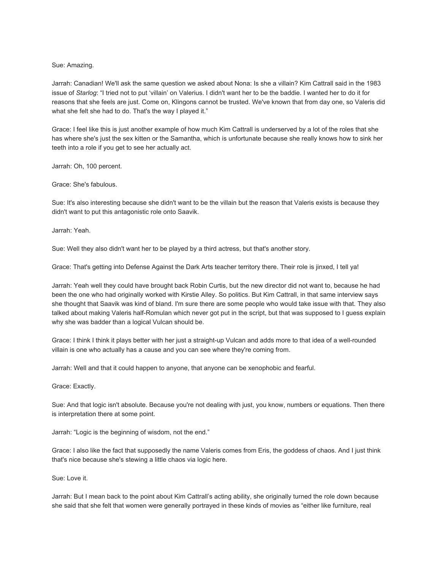## Sue: Amazing.

Jarrah: Canadian! We'll ask the same question we asked about Nona: Is she a villain? Kim Cattrall said in the 1983 issue of *Starlog*: "I tried not to put 'villain' on Valerius. I didn't want her to be the baddie. I wanted her to do it for reasons that she feels are just. Come on, Klingons cannot be trusted. We've known that from day one, so Valeris did what she felt she had to do. That's the way I played it."

Grace: I feel like this is just another example of how much Kim Cattrall is underserved by a lot of the roles that she has where she's just the sex kitten or the Samantha, which is unfortunate because she really knows how to sink her teeth into a role if you get to see her actually act.

Jarrah: Oh, 100 percent.

#### Grace: She's fabulous.

Sue: It's also interesting because she didn't want to be the villain but the reason that Valeris exists is because they didn't want to put this antagonistic role onto Saavik.

Jarrah: Yeah.

Sue: Well they also didn't want her to be played by a third actress, but that's another story.

Grace: That's getting into Defense Against the Dark Arts teacher territory there. Their role is jinxed, I tell ya!

Jarrah: Yeah well they could have brought back Robin Curtis, but the new director did not want to, because he had been the one who had originally worked with Kirstie Alley. So politics. But Kim Cattrall, in that same interview says she thought that Saavik was kind of bland. I'm sure there are some people who would take issue with that. They also talked about making Valeris half-Romulan which never got put in the script, but that was supposed to I guess explain why she was badder than a logical Vulcan should be.

Grace: I think I think it plays better with her just a straight-up Vulcan and adds more to that idea of a well-rounded villain is one who actually has a cause and you can see where they're coming from.

Jarrah: Well and that it could happen to anyone, that anyone can be xenophobic and fearful.

Grace: Exactly.

Sue: And that logic isn't absolute. Because you're not dealing with just, you know, numbers or equations. Then there is interpretation there at some point.

Jarrah: "Logic is the beginning of wisdom, not the end."

Grace: I also like the fact that supposedly the name Valeris comes from Eris, the goddess of chaos. And I just think that's nice because she's stewing a little chaos via logic here.

Sue: Love it.

Jarrah: But I mean back to the point about Kim Cattrall's acting ability, she originally turned the role down because she said that she felt that women were generally portrayed in these kinds of movies as "either like furniture, real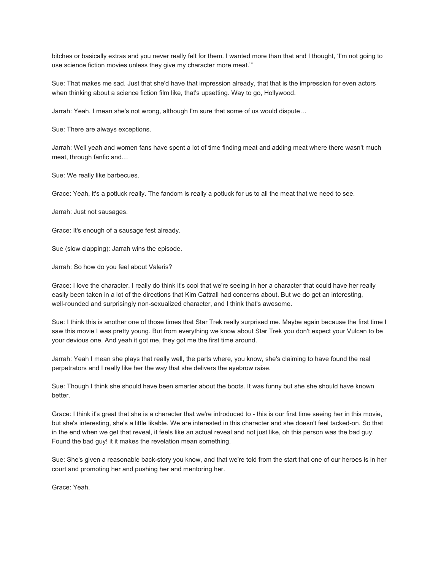bitches or basically extras and you never really felt for them. I wanted more than that and I thought, 'I'm not going to use science fiction movies unless they give my character more meat.'"

Sue: That makes me sad. Just that she'd have that impression already, that that is the impression for even actors when thinking about a science fiction film like, that's upsetting. Way to go, Hollywood.

Jarrah: Yeah. I mean she's not wrong, although I'm sure that some of us would dispute…

Sue: There are always exceptions.

Jarrah: Well yeah and women fans have spent a lot of time finding meat and adding meat where there wasn't much meat, through fanfic and…

Sue: We really like barbecues.

Grace: Yeah, it's a potluck really. The fandom is really a potluck for us to all the meat that we need to see.

Jarrah: Just not sausages.

Grace: It's enough of a sausage fest already.

Sue (slow clapping): Jarrah wins the episode.

Jarrah: So how do you feel about Valeris?

Grace: I love the character. I really do think it's cool that we're seeing in her a character that could have her really easily been taken in a lot of the directions that Kim Cattrall had concerns about. But we do get an interesting, well-rounded and surprisingly non-sexualized character, and I think that's awesome.

Sue: I think this is another one of those times that Star Trek really surprised me. Maybe again because the first time I saw this movie I was pretty young. But from everything we know about Star Trek you don't expect your Vulcan to be your devious one. And yeah it got me, they got me the first time around.

Jarrah: Yeah I mean she plays that really well, the parts where, you know, she's claiming to have found the real perpetrators and I really like her the way that she delivers the eyebrow raise.

Sue: Though I think she should have been smarter about the boots. It was funny but she she should have known better.

Grace: I think it's great that she is a character that we're introduced to - this is our first time seeing her in this movie, but she's interesting, she's a little likable. We are interested in this character and she doesn't feel tacked-on. So that in the end when we get that reveal, it feels like an actual reveal and not just like, oh this person was the bad guy. Found the bad guy! it it makes the revelation mean something.

Sue: She's given a reasonable back-story you know, and that we're told from the start that one of our heroes is in her court and promoting her and pushing her and mentoring her.

Grace: Yeah.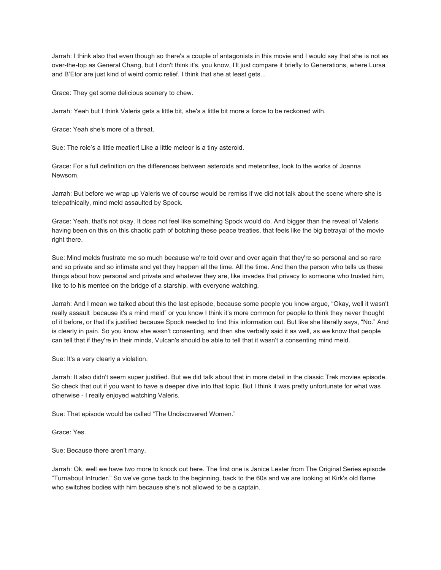Jarrah: I think also that even though so there's a couple of antagonists in this movie and I would say that she is not as over-the-top as General Chang, but I don't think it's, you know, I'll just compare it briefly to Generations, where Lursa and B'Etor are just kind of weird comic relief. I think that she at least gets...

Grace: They get some delicious scenery to chew.

Jarrah: Yeah but I think Valeris gets a little bit, she's a little bit more a force to be reckoned with.

Grace: Yeah she's more of a threat.

Sue: The role's a little meatier! Like a little meteor is a tiny asteroid.

Grace: For a full definition on the differences between asteroids and meteorites, look to the works of Joanna Newsom.

Jarrah: But before we wrap up Valeris we of course would be remiss if we did not talk about the scene where she is telepathically, mind meld assaulted by Spock.

Grace: Yeah, that's not okay. It does not feel like something Spock would do. And bigger than the reveal of Valeris having been on this on this chaotic path of botching these peace treaties, that feels like the big betrayal of the movie right there.

Sue: Mind melds frustrate me so much because we're told over and over again that they're so personal and so rare and so private and so intimate and yet they happen all the time. All the time. And then the person who tells us these things about how personal and private and whatever they are, like invades that privacy to someone who trusted him, like to to his mentee on the bridge of a starship, with everyone watching.

Jarrah: And I mean we talked about this the last episode, because some people you know argue, "Okay, well it wasn't really assault because it's a mind meld" or you know I think it's more common for people to think they never thought of it before, or that it's justified because Spock needed to find this information out. But like she literally says, "No." And is clearly in pain. So you know she wasn't consenting, and then she verbally said it as well, as we know that people can tell that if they're in their minds, Vulcan's should be able to tell that it wasn't a consenting mind meld.

Sue: It's a very clearly a violation.

Jarrah: It also didn't seem super justified. But we did talk about that in more detail in the classic Trek movies episode. So check that out if you want to have a deeper dive into that topic. But I think it was pretty unfortunate for what was otherwise - I really enjoyed watching Valeris.

Sue: That episode would be called "The Undiscovered Women."

Grace: Yes.

Sue: Because there aren't many.

Jarrah: Ok, well we have two more to knock out here. The first one is Janice Lester from The Original Series episode "Turnabout Intruder." So we've gone back to the beginning, back to the 60s and we are looking at Kirk's old flame who switches bodies with him because she's not allowed to be a captain.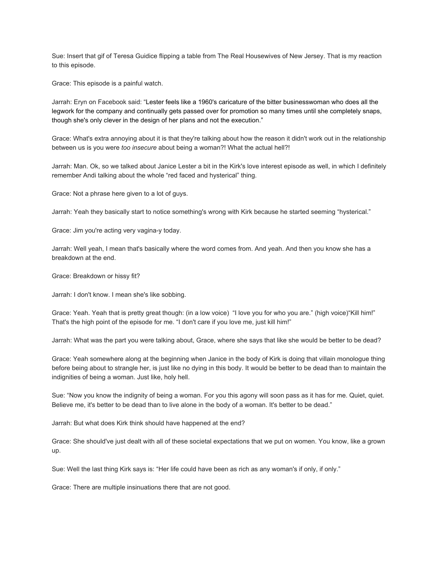Sue: Insert that gif of Teresa Guidice flipping a table from The Real Housewives of New Jersey. That is my reaction to this episode.

Grace: This episode is a painful watch.

Jarrah: Eryn on Facebook said: "Lester feels like a 1960's caricature of the bitter businesswoman who does all the legwork for the company and continually gets passed over for promotion so many times until she completely snaps, though she's only clever in the design of her plans and not the execution."

Grace: What's extra annoying about it is that they're talking about how the reason it didn't work out in the relationship between us is you were *too insecure* about being a woman?! What the actual hell?!

Jarrah: Man. Ok, so we talked about Janice Lester a bit in the Kirk's love interest episode as well, in which I definitely remember Andi talking about the whole "red faced and hysterical" thing.

Grace: Not a phrase here given to a lot of guys.

Jarrah: Yeah they basically start to notice something's wrong with Kirk because he started seeming "hysterical."

Grace: Jim you're acting very vagina-y today.

Jarrah: Well yeah, I mean that's basically where the word comes from. And yeah. And then you know she has a breakdown at the end.

Grace: Breakdown or hissy fit?

Jarrah: I don't know. I mean she's like sobbing.

Grace: Yeah. Yeah that is pretty great though: (in a low voice) "I love you for who you are." (high voice)"Kill him!" That's the high point of the episode for me. "I don't care if you love me, just kill him!"

Jarrah: What was the part you were talking about, Grace, where she says that like she would be better to be dead?

Grace: Yeah somewhere along at the beginning when Janice in the body of Kirk is doing that villain monologue thing before being about to strangle her, is just like no dying in this body. It would be better to be dead than to maintain the indignities of being a woman. Just like, holy hell.

Sue: "Now you know the indignity of being a woman. For you this agony will soon pass as it has for me. Quiet, quiet. Believe me, it's better to be dead than to live alone in the body of a woman. It's better to be dead."

Jarrah: But what does Kirk think should have happened at the end?

Grace: She should've just dealt with all of these societal expectations that we put on women. You know, like a grown up.

Sue: Well the last thing Kirk says is: "Her life could have been as rich as any woman's if only, if only."

Grace: There are multiple insinuations there that are not good.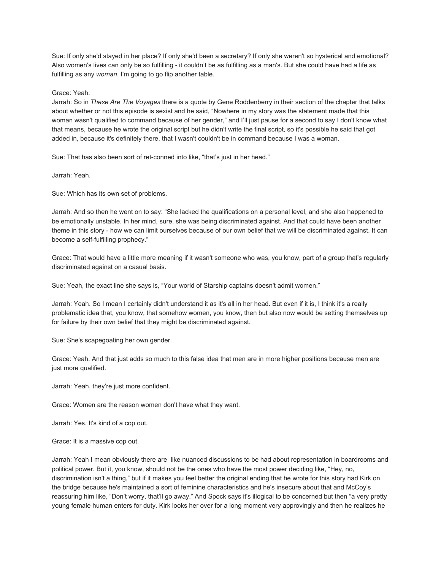Sue: If only she'd stayed in her place? If only she'd been a secretary? If only she weren't so hysterical and emotional? Also women's lives can only be so fulfilling - it couldn't be as fulfilling as a man's. But she could have had a life as fulfilling as any *woman*. I'm going to go flip another table.

# Grace: Yeah.

Jarrah: So in *These Are The Voyages* there is a quote by Gene Roddenberry in their section of the chapter that talks about whether or not this episode is sexist and he said, "Nowhere in my story was the statement made that this woman wasn't qualified to command because of her gender," and I'll just pause for a second to say I don't know what that means, because he wrote the original script but he didn't write the final script, so it's possible he said that got added in, because it's definitely there, that I wasn't couldn't be in command because I was a woman.

Sue: That has also been sort of ret-conned into like, "that's just in her head."

Jarrah: Yeah.

Sue: Which has its own set of problems.

Jarrah: And so then he went on to say: "She lacked the qualifications on a personal level, and she also happened to be emotionally unstable. In her mind, sure, she was being discriminated against. And that could have been another theme in this story - how we can limit ourselves because of our own belief that we will be discriminated against. It can become a self-fulfilling prophecy."

Grace: That would have a little more meaning if it wasn't someone who was, you know, part of a group that's regularly discriminated against on a casual basis.

Sue: Yeah, the exact line she says is, "Your world of Starship captains doesn't admit women."

Jarrah: Yeah. So I mean I certainly didn't understand it as it's all in her head. But even if it is, I think it's a really problematic idea that, you know, that somehow women, you know, then but also now would be setting themselves up for failure by their own belief that they might be discriminated against.

Sue: She's scapegoating her own gender.

Grace: Yeah. And that just adds so much to this false idea that men are in more higher positions because men are just more qualified.

Jarrah: Yeah, they're just more confident.

Grace: Women are the reason women don't have what they want.

Jarrah: Yes. It's kind of a cop out.

Grace: It is a massive cop out.

Jarrah: Yeah I mean obviously there are like nuanced discussions to be had about representation in boardrooms and political power. But it, you know, should not be the ones who have the most power deciding like, "Hey, no, discrimination isn't a thing," but if it makes you feel better the original ending that he wrote for this story had Kirk on the bridge because he's maintained a sort of feminine characteristics and he's insecure about that and McCoy's reassuring him like, "Don't worry, that'll go away." And Spock says it's illogical to be concerned but then "a very pretty young female human enters for duty. Kirk looks her over for a long moment very approvingly and then he realizes he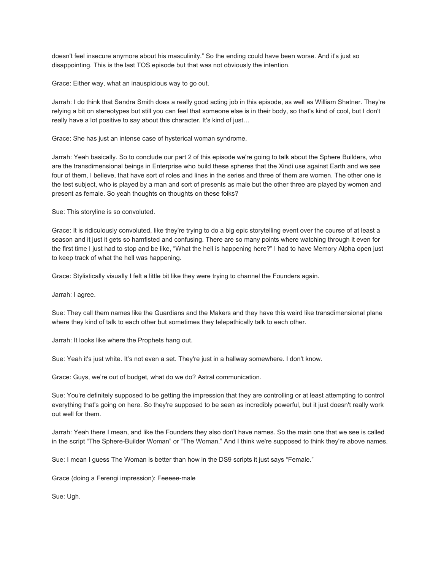doesn't feel insecure anymore about his masculinity." So the ending could have been worse. And it's just so disappointing. This is the last TOS episode but that was not obviously the intention.

Grace: Either way, what an inauspicious way to go out.

Jarrah: I do think that Sandra Smith does a really good acting job in this episode, as well as William Shatner. They're relying a bit on stereotypes but still you can feel that someone else is in their body, so that's kind of cool, but I don't really have a lot positive to say about this character. It's kind of just…

Grace: She has just an intense case of hysterical woman syndrome.

Jarrah: Yeah basically. So to conclude our part 2 of this episode we're going to talk about the Sphere Builders, who are the transdimensional beings in Enterprise who build these spheres that the Xindi use against Earth and we see four of them, I believe, that have sort of roles and lines in the series and three of them are women. The other one is the test subject, who is played by a man and sort of presents as male but the other three are played by women and present as female. So yeah thoughts on thoughts on these folks?

Sue: This storyline is so convoluted.

Grace: It is ridiculously convoluted, like they're trying to do a big epic storytelling event over the course of at least a season and it just it gets so hamfisted and confusing. There are so many points where watching through it even for the first time I just had to stop and be like, "What the hell is happening here?" I had to have Memory Alpha open just to keep track of what the hell was happening.

Grace: Stylistically visually I felt a little bit like they were trying to channel the Founders again.

Jarrah: I agree.

Sue: They call them names like the Guardians and the Makers and they have this weird like transdimensional plane where they kind of talk to each other but sometimes they telepathically talk to each other.

Jarrah: It looks like where the Prophets hang out.

Sue: Yeah it's just white. It's not even a set. They're just in a hallway somewhere. I don't know.

Grace: Guys, we're out of budget, what do we do? Astral communication.

Sue: You're definitely supposed to be getting the impression that they are controlling or at least attempting to control everything that's going on here. So they're supposed to be seen as incredibly powerful, but it just doesn't really work out well for them.

Jarrah: Yeah there I mean, and like the Founders they also don't have names. So the main one that we see is called in the script "The Sphere-Builder Woman" or "The Woman." And I think we're supposed to think they're above names.

Sue: I mean I guess The Woman is better than how in the DS9 scripts it just says "Female."

Grace (doing a Ferengi impression): Feeeee-male

Sue: Ugh.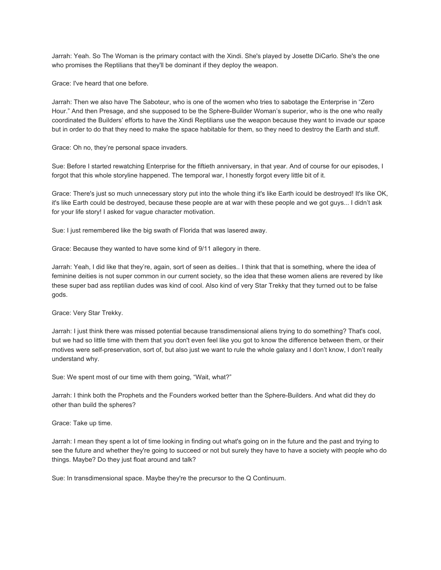Jarrah: Yeah. So The Woman is the primary contact with the Xindi. She's played by Josette DiCarlo. She's the one who promises the Reptilians that they'll be dominant if they deploy the weapon.

Grace: I've heard that one before.

Jarrah: Then we also have The Saboteur, who is one of the women who tries to sabotage the Enterprise in "Zero Hour." And then Presage, and she supposed to be the Sphere-Builder Woman's superior, who is the one who really coordinated the Builders' efforts to have the Xindi Reptilians use the weapon because they want to invade our space but in order to do that they need to make the space habitable for them, so they need to destroy the Earth and stuff.

Grace: Oh no, they're personal space invaders.

Sue: Before I started rewatching Enterprise for the fiftieth anniversary, in that year. And of course for our episodes, I forgot that this whole storyline happened. The temporal war, I honestly forgot every little bit of it.

Grace: There's just so much unnecessary story put into the whole thing it's like Earth icould be destroyed! It's like OK, it's like Earth could be destroyed, because these people are at war with these people and we got guys... I didn't ask for your life story! I asked for vague character motivation.

Sue: I just remembered like the big swath of Florida that was lasered away.

Grace: Because they wanted to have some kind of 9/11 allegory in there.

Jarrah: Yeah, I did like that they're, again, sort of seen as deities.. I think that that is something, where the idea of feminine deities is not super common in our current society, so the idea that these women aliens are revered by like these super bad ass reptilian dudes was kind of cool. Also kind of very Star Trekky that they turned out to be false gods.

Grace: Very Star Trekky.

Jarrah: I just think there was missed potential because transdimensional aliens trying to do something? That's cool, but we had so little time with them that you don't even feel like you got to know the difference between them, or their motives were self-preservation, sort of, but also just we want to rule the whole galaxy and I don't know, I don't really understand why.

Sue: We spent most of our time with them going, "Wait, what?"

Jarrah: I think both the Prophets and the Founders worked better than the Sphere-Builders. And what did they do other than build the spheres?

Grace: Take up time.

Jarrah: I mean they spent a lot of time looking in finding out what's going on in the future and the past and trying to see the future and whether they're going to succeed or not but surely they have to have a society with people who do things. Maybe? Do they just float around and talk?

Sue: In transdimensional space. Maybe they're the precursor to the Q Continuum.